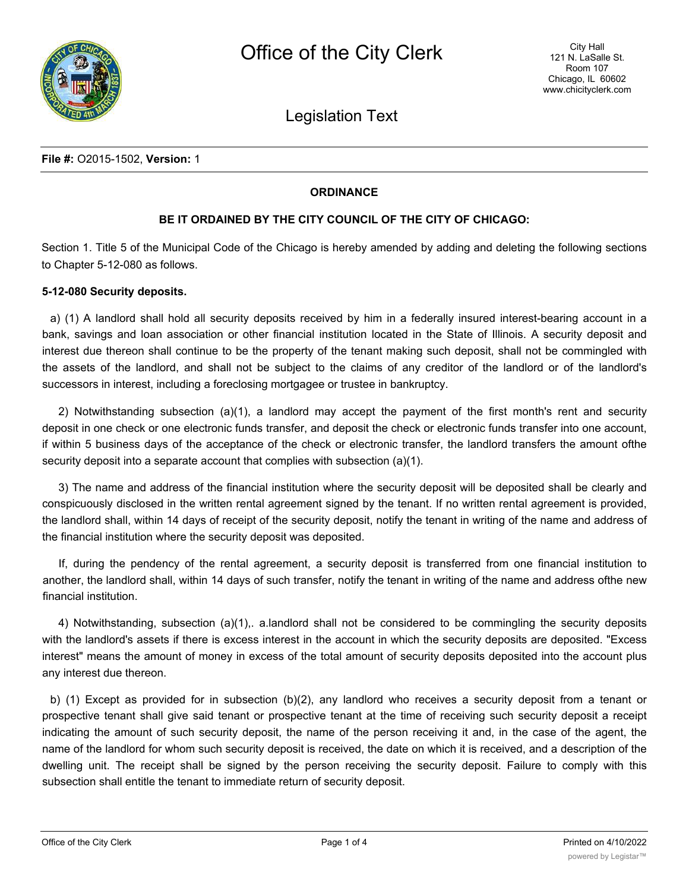

Legislation Text

## **ORDINANCE**

## **BE IT ORDAINED BY THE CITY COUNCIL OF THE CITY OF CHICAGO:**

Section 1. Title 5 of the Municipal Code of the Chicago is hereby amended by adding and deleting the following sections to Chapter 5-12-080 as follows.

#### **5-12-080 Security deposits.**

a) (1) A landlord shall hold all security deposits received by him in a federally insured interest-bearing account in a bank, savings and loan association or other financial institution located in the State of Illinois. A security deposit and interest due thereon shall continue to be the property of the tenant making such deposit, shall not be commingled with the assets of the landlord, and shall not be subject to the claims of any creditor of the landlord or of the landlord's successors in interest, including a foreclosing mortgagee or trustee in bankruptcy.

2) Notwithstanding subsection (a)(1), a landlord may accept the payment of the first month's rent and security deposit in one check or one electronic funds transfer, and deposit the check or electronic funds transfer into one account, if within 5 business days of the acceptance of the check or electronic transfer, the landlord transfers the amount ofthe security deposit into a separate account that complies with subsection (a)(1).

3) The name and address of the financial institution where the security deposit will be deposited shall be clearly and conspicuously disclosed in the written rental agreement signed by the tenant. If no written rental agreement is provided, the landlord shall, within 14 days of receipt of the security deposit, notify the tenant in writing of the name and address of the financial institution where the security deposit was deposited.

If, during the pendency of the rental agreement, a security deposit is transferred from one financial institution to another, the landlord shall, within 14 days of such transfer, notify the tenant in writing of the name and address ofthe new financial institution.

4) Notwithstanding, subsection (a)(1),. a.landlord shall not be considered to be commingling the security deposits with the landlord's assets if there is excess interest in the account in which the security deposits are deposited. "Excess interest" means the amount of money in excess of the total amount of security deposits deposited into the account plus any interest due thereon.

b) (1) Except as provided for in subsection (b)(2), any landlord who receives a security deposit from a tenant or prospective tenant shall give said tenant or prospective tenant at the time of receiving such security deposit a receipt indicating the amount of such security deposit, the name of the person receiving it and, in the case of the agent, the name of the landlord for whom such security deposit is received, the date on which it is received, and a description of the dwelling unit. The receipt shall be signed by the person receiving the security deposit. Failure to comply with this subsection shall entitle the tenant to immediate return of security deposit.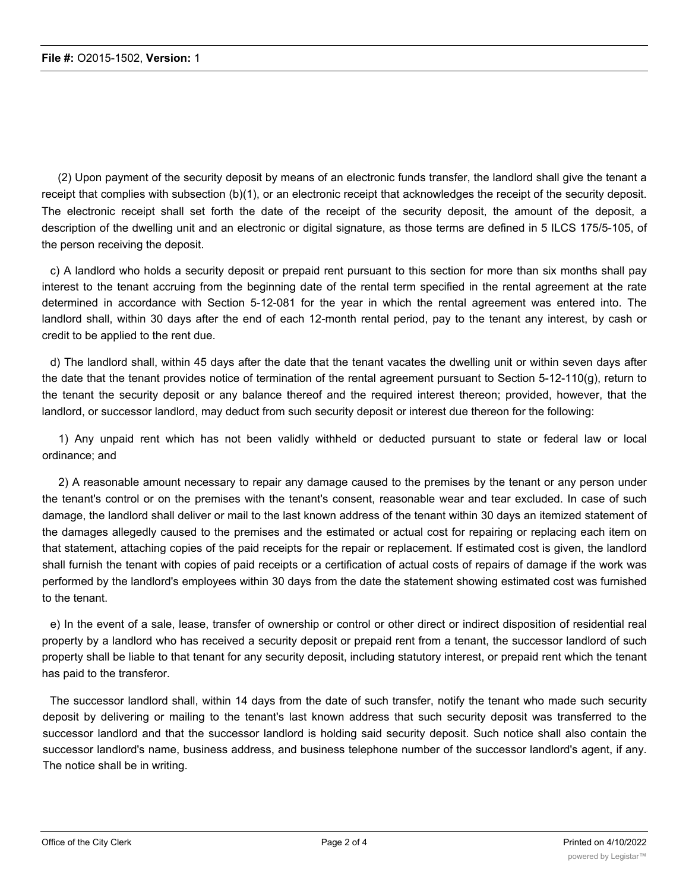(2) Upon payment of the security deposit by means of an electronic funds transfer, the landlord shall give the tenant a receipt that complies with subsection (b)(1), or an electronic receipt that acknowledges the receipt of the security deposit. The electronic receipt shall set forth the date of the receipt of the security deposit, the amount of the deposit, a description of the dwelling unit and an electronic or digital signature, as those terms are defined in 5 ILCS 175/5-105, of the person receiving the deposit.

c) A landlord who holds a security deposit or prepaid rent pursuant to this section for more than six months shall pay interest to the tenant accruing from the beginning date of the rental term specified in the rental agreement at the rate determined in accordance with Section 5-12-081 for the year in which the rental agreement was entered into. The landlord shall, within 30 days after the end of each 12-month rental period, pay to the tenant any interest, by cash or credit to be applied to the rent due.

d) The landlord shall, within 45 days after the date that the tenant vacates the dwelling unit or within seven days after the date that the tenant provides notice of termination of the rental agreement pursuant to Section 5-12-110(g), return to the tenant the security deposit or any balance thereof and the required interest thereon; provided, however, that the landlord, or successor landlord, may deduct from such security deposit or interest due thereon for the following:

1) Any unpaid rent which has not been validly withheld or deducted pursuant to state or federal law or local ordinance; and

2) A reasonable amount necessary to repair any damage caused to the premises by the tenant or any person under the tenant's control or on the premises with the tenant's consent, reasonable wear and tear excluded. In case of such damage, the landlord shall deliver or mail to the last known address of the tenant within 30 days an itemized statement of the damages allegedly caused to the premises and the estimated or actual cost for repairing or replacing each item on that statement, attaching copies of the paid receipts for the repair or replacement. If estimated cost is given, the landlord shall furnish the tenant with copies of paid receipts or a certification of actual costs of repairs of damage if the work was performed by the landlord's employees within 30 days from the date the statement showing estimated cost was furnished to the tenant.

e) In the event of a sale, lease, transfer of ownership or control or other direct or indirect disposition of residential real property by a landlord who has received a security deposit or prepaid rent from a tenant, the successor landlord of such property shall be liable to that tenant for any security deposit, including statutory interest, or prepaid rent which the tenant has paid to the transferor.

The successor landlord shall, within 14 days from the date of such transfer, notify the tenant who made such security deposit by delivering or mailing to the tenant's last known address that such security deposit was transferred to the successor landlord and that the successor landlord is holding said security deposit. Such notice shall also contain the successor landlord's name, business address, and business telephone number of the successor landlord's agent, if any. The notice shall be in writing.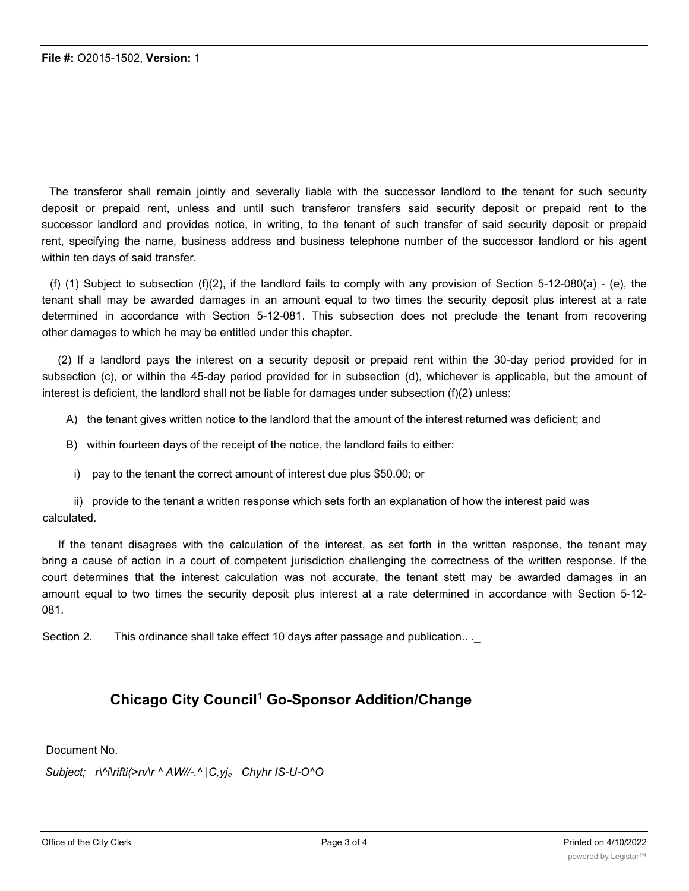The transferor shall remain jointly and severally liable with the successor landlord to the tenant for such security deposit or prepaid rent, unless and until such transferor transfers said security deposit or prepaid rent to the successor landlord and provides notice, in writing, to the tenant of such transfer of said security deposit or prepaid rent, specifying the name, business address and business telephone number of the successor landlord or his agent within ten days of said transfer.

(f) (1) Subject to subsection (f)(2), if the landlord fails to comply with any provision of Section 5-12-080(a) - (e), the tenant shall may be awarded damages in an amount equal to two times the security deposit plus interest at a rate determined in accordance with Section 5-12-081. This subsection does not preclude the tenant from recovering other damages to which he may be entitled under this chapter.

(2) If a landlord pays the interest on a security deposit or prepaid rent within the 30-day period provided for in subsection (c), or within the 45-day period provided for in subsection (d), whichever is applicable, but the amount of interest is deficient, the landlord shall not be liable for damages under subsection (f)(2) unless:

- A) the tenant gives written notice to the landlord that the amount of the interest returned was deficient; and
- B) within fourteen days of the receipt of the notice, the landlord fails to either:
- i) pay to the tenant the correct amount of interest due plus \$50.00; or

ii) provide to the tenant a written response which sets forth an explanation of how the interest paid was calculated.

If the tenant disagrees with the calculation of the interest, as set forth in the written response, the tenant may bring a cause of action in a court of competent jurisdiction challenging the correctness of the written response. If the court determines that the interest calculation was not accurate, the tenant stett may be awarded damages in an amount equal to two times the security deposit plus interest at a rate determined in accordance with Section 5-12- 081.

Section 2. This ordinance shall take effect 10 days after passage and publication.. .

# **Chicago City Council<sup>1</sup> Go-Sponsor Addition/Change**

Document No.

*Subject; r\^i\rifti(>rv\r ^ AW//-.^ |C,yje Chyhr IS-U-O^O*